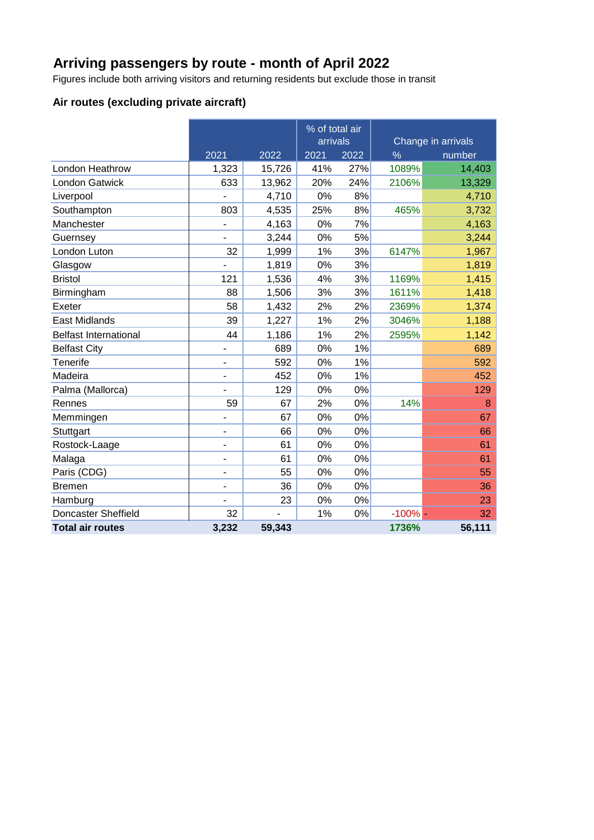### **Arriving passengers by route - month of April 2022**

Figures include both arriving visitors and returning residents but exclude those in transit

### **Air routes (excluding private aircraft)**

|                              |       |        | % of total air<br>arrivals |      | Change in arrivals |        |  |
|------------------------------|-------|--------|----------------------------|------|--------------------|--------|--|
|                              | 2021  | 2022   | 2021                       | 2022 | $\%$               | number |  |
| London Heathrow              | 1,323 | 15,726 | 41%                        | 27%  | 1089%              | 14,403 |  |
| <b>London Gatwick</b>        | 633   | 13,962 | 20%                        | 24%  | 2106%              | 13,329 |  |
| Liverpool                    |       | 4,710  | 0%                         | 8%   |                    | 4,710  |  |
| Southampton                  | 803   | 4,535  | 25%                        | 8%   | 465%               | 3,732  |  |
| Manchester                   |       | 4,163  | 0%                         | 7%   |                    | 4,163  |  |
| Guernsey                     |       | 3,244  | 0%                         | 5%   |                    | 3,244  |  |
| London Luton                 | 32    | 1,999  | 1%                         | 3%   | 6147%              | 1,967  |  |
| Glasgow                      |       | 1,819  | 0%                         | 3%   |                    | 1,819  |  |
| <b>Bristol</b>               | 121   | 1,536  | 4%                         | 3%   | 1169%              | 1,415  |  |
| Birmingham                   | 88    | 1,506  | 3%                         | 3%   | 1611%              | 1,418  |  |
| Exeter                       | 58    | 1,432  | 2%                         | 2%   | 2369%              | 1,374  |  |
| <b>East Midlands</b>         | 39    | 1,227  | 1%                         | 2%   | 3046%              | 1,188  |  |
| <b>Belfast International</b> | 44    | 1,186  | 1%                         | 2%   | 2595%              | 1,142  |  |
| <b>Belfast City</b>          | -     | 689    | 0%                         | 1%   |                    | 689    |  |
| Tenerife                     | -     | 592    | 0%                         | 1%   |                    | 592    |  |
| Madeira                      | -     | 452    | 0%                         | 1%   |                    | 452    |  |
| Palma (Mallorca)             |       | 129    | 0%                         | 0%   |                    | 129    |  |
| Rennes                       | 59    | 67     | 2%                         | 0%   | 14%                | 8      |  |
| Memmingen                    | L     | 67     | 0%                         | 0%   |                    | 67     |  |
| Stuttgart                    | ÷,    | 66     | 0%                         | 0%   |                    | 66     |  |
| Rostock-Laage                | L.    | 61     | 0%                         | 0%   |                    | 61     |  |
| Malaga                       | L,    | 61     | 0%                         | 0%   |                    | 61     |  |
| Paris (CDG)                  | L.    | 55     | 0%                         | 0%   |                    | 55     |  |
| <b>Bremen</b>                | -     | 36     | 0%                         | 0%   |                    | 36     |  |
| Hamburg                      |       | 23     | 0%                         | 0%   |                    | 23     |  |
| <b>Doncaster Sheffield</b>   | 32    |        | 1%                         | 0%   | $-100%$ -          | 32     |  |
| <b>Total air routes</b>      | 3,232 | 59,343 |                            |      | 1736%              | 56,111 |  |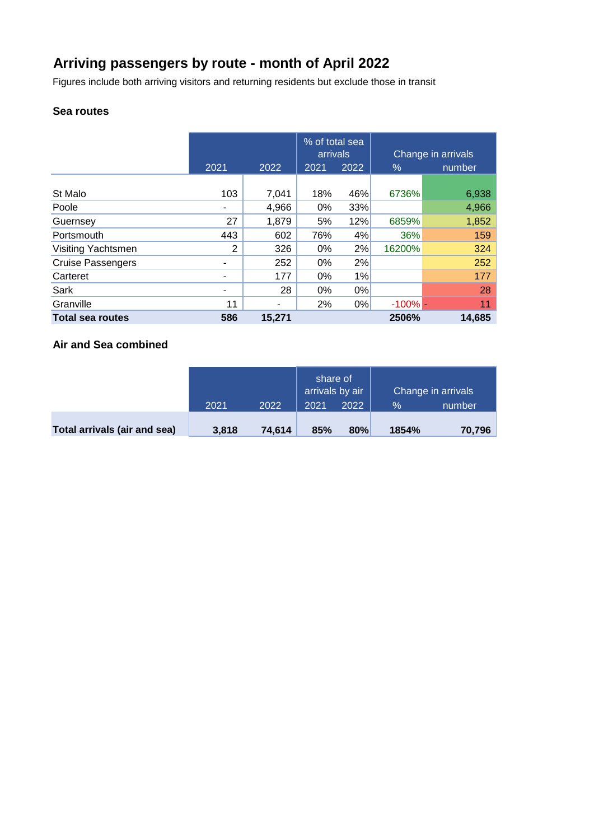# **Arriving passengers by route - month of April 2022**

Figures include both arriving visitors and returning residents but exclude those in transit

### **Sea routes**

|                          |      |        | % of total sea<br>arrivals |       | Change in arrivals |        |
|--------------------------|------|--------|----------------------------|-------|--------------------|--------|
|                          | 2021 | 2022   | 2021                       | 2022  | $\%$               | number |
| St Malo                  | 103  | 7,041  | 18%                        | 46%   | 6736%              | 6,938  |
| Poole                    |      | 4,966  | $0\%$                      | 33%   |                    | 4,966  |
| Guernsey                 | 27   | 1,879  | 5%                         | 12%   | 6859%              | 1,852  |
| Portsmouth               | 443  | 602    | 76%                        | 4%    | 36%                | 159    |
| Visiting Yachtsmen       | 2    | 326    | $0\%$                      | 2%    | 16200%             | 324    |
| <b>Cruise Passengers</b> |      | 252    | 0%                         | 2%    |                    | 252    |
| Carteret                 |      | 177    | $0\%$                      | 1%    |                    | 177    |
| Sark                     | ۰    | 28     | $0\%$                      | 0%    |                    | 28     |
| Granville                | 11   | -      | 2%                         | $0\%$ | $-100\%$ $-$       | 11     |
| <b>Total sea routes</b>  | 586  | 15,271 |                            |       | 2506%              | 14,685 |

### **Air and Sea combined**

|                              |       |        | share of<br>arrivals by air |      | Change in arrivals |        |  |
|------------------------------|-------|--------|-----------------------------|------|--------------------|--------|--|
|                              | 2021  | 2022   | 2021                        | 2022 | $\%$               | number |  |
| Total arrivals (air and sea) | 3,818 | 74,614 | 85%                         | 80%  | 1854%              | 70,796 |  |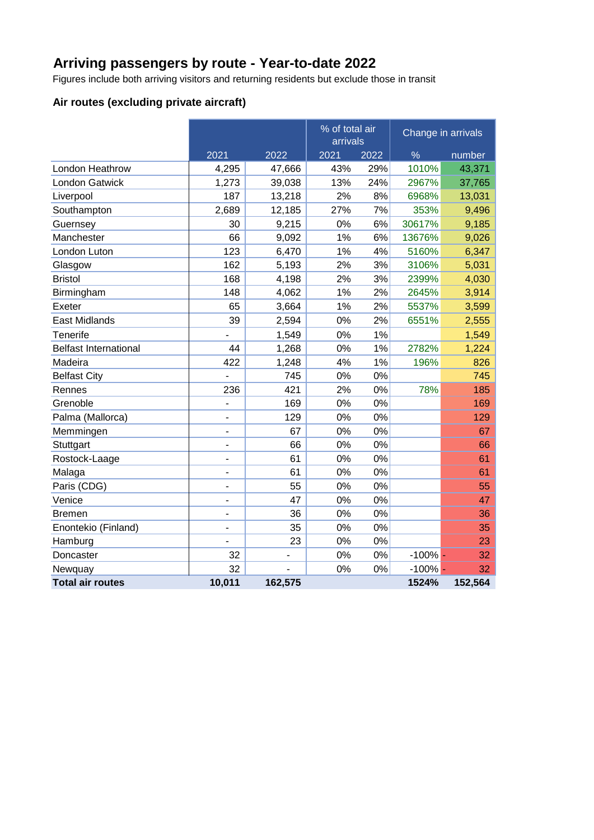# **Arriving passengers by route - Year-to-date 2022**

Figures include both arriving visitors and returning residents but exclude those in transit

### **Air routes (excluding private aircraft)**

|                              |                              |         | % of total air<br>arrivals |      | Change in arrivals |         |
|------------------------------|------------------------------|---------|----------------------------|------|--------------------|---------|
|                              | 2021                         | 2022    | 2021                       | 2022 | %                  | number  |
| London Heathrow              | 4,295                        | 47,666  | 43%                        | 29%  | 1010%              | 43,371  |
| <b>London Gatwick</b>        | 1,273                        | 39,038  | 13%                        | 24%  | 2967%              | 37,765  |
| Liverpool                    | 187                          | 13,218  | 2%                         | 8%   | 6968%              | 13,031  |
| Southampton                  | 2,689                        | 12,185  | 27%                        | 7%   | 353%               | 9,496   |
| Guernsey                     | 30                           | 9,215   | 0%                         | 6%   | 30617%             | 9,185   |
| Manchester                   | 66                           | 9,092   | 1%                         | 6%   | 13676%             | 9,026   |
| London Luton                 | 123                          | 6,470   | 1%                         | 4%   | 5160%              | 6,347   |
| Glasgow                      | 162                          | 5,193   | 2%                         | 3%   | 3106%              | 5,031   |
| <b>Bristol</b>               | 168                          | 4,198   | 2%                         | 3%   | 2399%              | 4,030   |
| Birmingham                   | 148                          | 4,062   | 1%                         | 2%   | 2645%              | 3,914   |
| Exeter                       | 65                           | 3,664   | 1%                         | 2%   | 5537%              | 3,599   |
| <b>East Midlands</b>         | 39                           | 2,594   | 0%                         | 2%   | 6551%              | 2,555   |
| Tenerife                     |                              | 1,549   | 0%                         | 1%   |                    | 1,549   |
| <b>Belfast International</b> | 44                           | 1,268   | 0%                         | 1%   | 2782%              | 1,224   |
| Madeira                      | 422                          | 1,248   | 4%                         | 1%   | 196%               | 826     |
| <b>Belfast City</b>          |                              | 745     | 0%                         | 0%   |                    | 745     |
| Rennes                       | 236                          | 421     | 2%                         | 0%   | 78%                | 185     |
| Grenoble                     | ÷,                           | 169     | 0%                         | 0%   |                    | 169     |
| Palma (Mallorca)             | ٠                            | 129     | 0%                         | 0%   |                    | 129     |
| Memmingen                    |                              | 67      | 0%                         | 0%   |                    | 67      |
| Stuttgart                    | $\blacksquare$               | 66      | 0%                         | 0%   |                    | 66      |
| Rostock-Laage                | ÷,                           | 61      | 0%                         | 0%   |                    | 61      |
| Malaga                       | $\qquad \qquad \blacksquare$ | 61      | 0%                         | 0%   |                    | 61      |
| Paris (CDG)                  | $\blacksquare$               | 55      | 0%                         | 0%   |                    | 55      |
| Venice                       |                              | 47      | 0%                         | 0%   |                    | 47      |
| <b>Bremen</b>                | ۰                            | 36      | 0%                         | 0%   |                    | 36      |
| Enontekio (Finland)          |                              | 35      | 0%                         | 0%   |                    | 35      |
| Hamburg                      |                              | 23      | 0%                         | 0%   |                    | 23      |
| Doncaster                    | 32                           | -       | 0%                         | 0%   | $-100\%$ -         | 32      |
| Newquay                      | 32                           |         | 0%                         | 0%   | $-100%$            | 32      |
| <b>Total air routes</b>      | 10,011                       | 162,575 |                            |      | 1524%              | 152,564 |